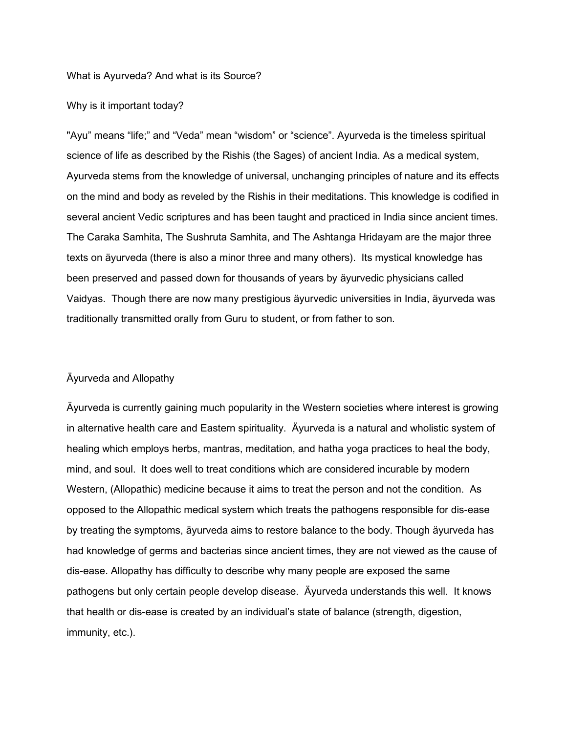## What is Ayurveda? And what is its Source?

## Why is it important today?

"Ayu" means "life;" and "Veda" mean "wisdom" or "science". Ayurveda is the timeless spiritual science of life as described by the Rishis (the Sages) of ancient India. As a medical system, Ayurveda stems from the knowledge of universal, unchanging principles of nature and its effects on the mind and body as reveled by the Rishis in their meditations. This knowledge is codified in several ancient Vedic scriptures and has been taught and practiced in India since ancient times. The Caraka Samhita, The Sushruta Samhita, and The Ashtanga Hridayam are the major three texts on äyurveda (there is also a minor three and many others). Its mystical knowledge has been preserved and passed down for thousands of years by äyurvedic physicians called Vaidyas. Though there are now many prestigious äyurvedic universities in India, äyurveda was traditionally transmitted orally from Guru to student, or from father to son.

## Äyurveda and Allopathy

Äyurveda is currently gaining much popularity in the Western societies where interest is growing in alternative health care and Eastern spirituality. Äyurveda is a natural and wholistic system of healing which employs herbs, mantras, meditation, and hatha yoga practices to heal the body, mind, and soul. It does well to treat conditions which are considered incurable by modern Western, (Allopathic) medicine because it aims to treat the person and not the condition. As opposed to the Allopathic medical system which treats the pathogens responsible for dis-ease by treating the symptoms, äyurveda aims to restore balance to the body. Though äyurveda has had knowledge of germs and bacterias since ancient times, they are not viewed as the cause of dis-ease. Allopathy has difficulty to describe why many people are exposed the same pathogens but only certain people develop disease. Äyurveda understands this well. It knows that health or dis-ease is created by an individual's state of balance (strength, digestion, immunity, etc.).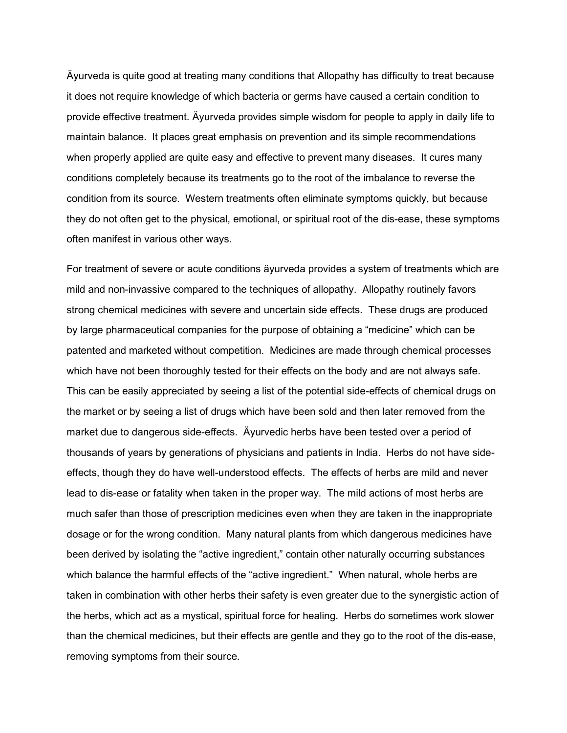Äyurveda is quite good at treating many conditions that Allopathy has difficulty to treat because it does not require knowledge of which bacteria or germs have caused a certain condition to provide effective treatment. Äyurveda provides simple wisdom for people to apply in daily life to maintain balance. It places great emphasis on prevention and its simple recommendations when properly applied are quite easy and effective to prevent many diseases. It cures many conditions completely because its treatments go to the root of the imbalance to reverse the condition from its source. Western treatments often eliminate symptoms quickly, but because they do not often get to the physical, emotional, or spiritual root of the dis-ease, these symptoms often manifest in various other ways.

For treatment of severe or acute conditions äyurveda provides a system of treatments which are mild and non-invassive compared to the techniques of allopathy. Allopathy routinely favors strong chemical medicines with severe and uncertain side effects. These drugs are produced by large pharmaceutical companies for the purpose of obtaining a "medicine" which can be patented and marketed without competition. Medicines are made through chemical processes which have not been thoroughly tested for their effects on the body and are not always safe. This can be easily appreciated by seeing a list of the potential side-effects of chemical drugs on the market or by seeing a list of drugs which have been sold and then later removed from the market due to dangerous side-effects. Äyurvedic herbs have been tested over a period of thousands of years by generations of physicians and patients in India. Herbs do not have sideeffects, though they do have well-understood effects. The effects of herbs are mild and never lead to dis-ease or fatality when taken in the proper way. The mild actions of most herbs are much safer than those of prescription medicines even when they are taken in the inappropriate dosage or for the wrong condition. Many natural plants from which dangerous medicines have been derived by isolating the "active ingredient," contain other naturally occurring substances which balance the harmful effects of the "active ingredient." When natural, whole herbs are taken in combination with other herbs their safety is even greater due to the synergistic action of the herbs, which act as a mystical, spiritual force for healing. Herbs do sometimes work slower than the chemical medicines, but their effects are gentle and they go to the root of the dis-ease, removing symptoms from their source.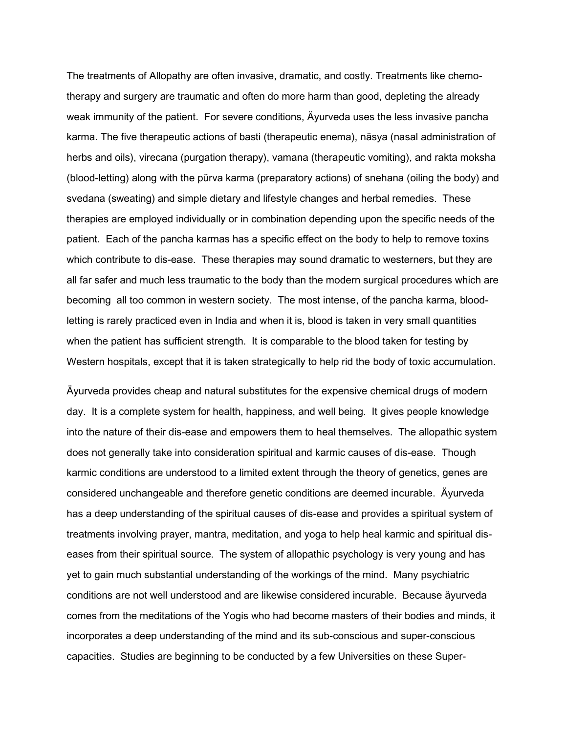The treatments of Allopathy are often invasive, dramatic, and costly. Treatments like chemotherapy and surgery are traumatic and often do more harm than good, depleting the already weak immunity of the patient. For severe conditions, Äyurveda uses the less invasive pancha karma. The five therapeutic actions of basti (therapeutic enema), näsya (nasal administration of herbs and oils), virecana (purgation therapy), vamana (therapeutic vomiting), and rakta moksha (blood-letting) along with the pürva karma (preparatory actions) of snehana (oiling the body) and svedana (sweating) and simple dietary and lifestyle changes and herbal remedies. These therapies are employed individually or in combination depending upon the specific needs of the patient. Each of the pancha karmas has a specific effect on the body to help to remove toxins which contribute to dis-ease. These therapies may sound dramatic to westerners, but they are all far safer and much less traumatic to the body than the modern surgical procedures which are becoming all too common in western society. The most intense, of the pancha karma, bloodletting is rarely practiced even in India and when it is, blood is taken in very small quantities when the patient has sufficient strength. It is comparable to the blood taken for testing by Western hospitals, except that it is taken strategically to help rid the body of toxic accumulation.

Äyurveda provides cheap and natural substitutes for the expensive chemical drugs of modern day. It is a complete system for health, happiness, and well being. It gives people knowledge into the nature of their dis-ease and empowers them to heal themselves. The allopathic system does not generally take into consideration spiritual and karmic causes of dis-ease. Though karmic conditions are understood to a limited extent through the theory of genetics, genes are considered unchangeable and therefore genetic conditions are deemed incurable. Äyurveda has a deep understanding of the spiritual causes of dis-ease and provides a spiritual system of treatments involving prayer, mantra, meditation, and yoga to help heal karmic and spiritual diseases from their spiritual source. The system of allopathic psychology is very young and has yet to gain much substantial understanding of the workings of the mind. Many psychiatric conditions are not well understood and are likewise considered incurable. Because äyurveda comes from the meditations of the Yogis who had become masters of their bodies and minds, it incorporates a deep understanding of the mind and its sub-conscious and super-conscious capacities. Studies are beginning to be conducted by a few Universities on these Super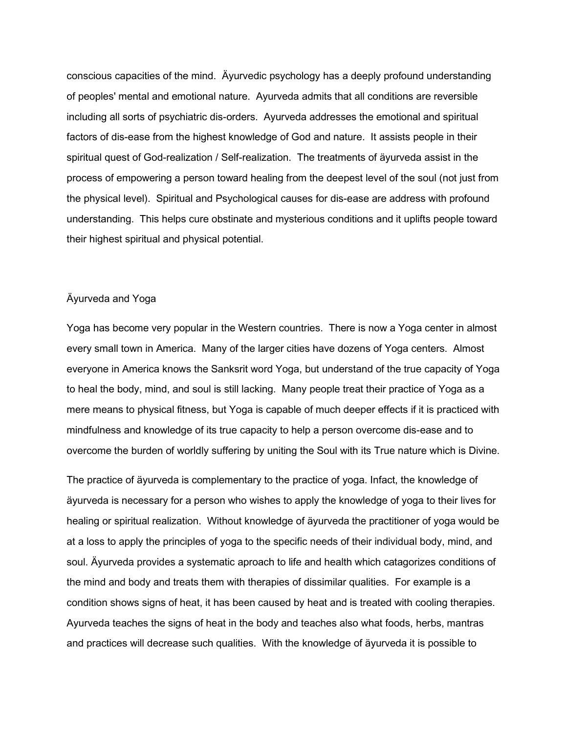conscious capacities of the mind. Äyurvedic psychology has a deeply profound understanding of peoples' mental and emotional nature. Ayurveda admits that all conditions are reversible including all sorts of psychiatric dis-orders. Ayurveda addresses the emotional and spiritual factors of dis-ease from the highest knowledge of God and nature. It assists people in their spiritual quest of God-realization / Self-realization. The treatments of äyurveda assist in the process of empowering a person toward healing from the deepest level of the soul (not just from the physical level). Spiritual and Psychological causes for dis-ease are address with profound understanding. This helps cure obstinate and mysterious conditions and it uplifts people toward their highest spiritual and physical potential.

## Äyurveda and Yoga

Yoga has become very popular in the Western countries. There is now a Yoga center in almost every small town in America. Many of the larger cities have dozens of Yoga centers. Almost everyone in America knows the Sanksrit word Yoga, but understand of the true capacity of Yoga to heal the body, mind, and soul is still lacking. Many people treat their practice of Yoga as a mere means to physical fitness, but Yoga is capable of much deeper effects if it is practiced with mindfulness and knowledge of its true capacity to help a person overcome dis-ease and to overcome the burden of worldly suffering by uniting the Soul with its True nature which is Divine.

The practice of äyurveda is complementary to the practice of yoga. Infact, the knowledge of äyurveda is necessary for a person who wishes to apply the knowledge of yoga to their lives for healing or spiritual realization. Without knowledge of äyurveda the practitioner of yoga would be at a loss to apply the principles of yoga to the specific needs of their individual body, mind, and soul. Äyurveda provides a systematic aproach to life and health which catagorizes conditions of the mind and body and treats them with therapies of dissimilar qualities. For example is a condition shows signs of heat, it has been caused by heat and is treated with cooling therapies. Ayurveda teaches the signs of heat in the body and teaches also what foods, herbs, mantras and practices will decrease such qualities. With the knowledge of äyurveda it is possible to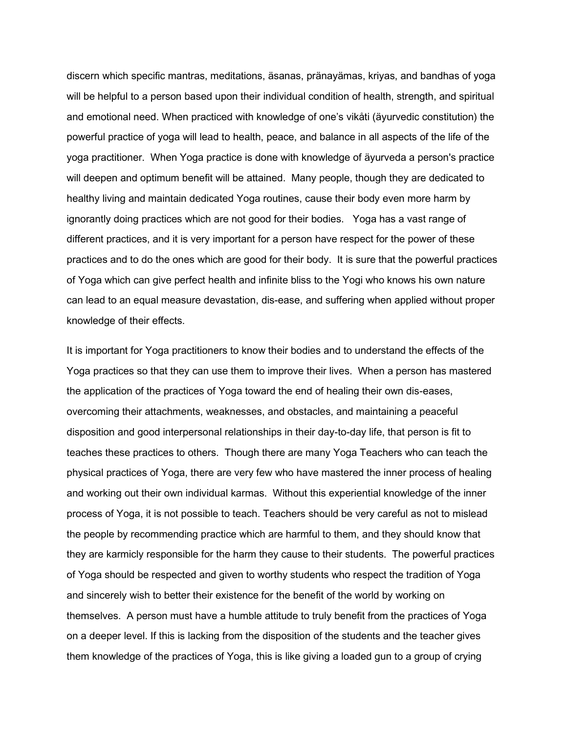discern which specific mantras, meditations, äsanas, pränayämas, kriyas, and bandhas of yoga will be helpful to a person based upon their individual condition of health, strength, and spiritual and emotional need. When practiced with knowledge of one's vikåti (äyurvedic constitution) the powerful practice of yoga will lead to health, peace, and balance in all aspects of the life of the yoga practitioner. When Yoga practice is done with knowledge of äyurveda a person's practice will deepen and optimum benefit will be attained. Many people, though they are dedicated to healthy living and maintain dedicated Yoga routines, cause their body even more harm by ignorantly doing practices which are not good for their bodies. Yoga has a vast range of different practices, and it is very important for a person have respect for the power of these practices and to do the ones which are good for their body. It is sure that the powerful practices of Yoga which can give perfect health and infinite bliss to the Yogi who knows his own nature can lead to an equal measure devastation, dis-ease, and suffering when applied without proper knowledge of their effects.

It is important for Yoga practitioners to know their bodies and to understand the effects of the Yoga practices so that they can use them to improve their lives. When a person has mastered the application of the practices of Yoga toward the end of healing their own dis-eases, overcoming their attachments, weaknesses, and obstacles, and maintaining a peaceful disposition and good interpersonal relationships in their day-to-day life, that person is fit to teaches these practices to others. Though there are many Yoga Teachers who can teach the physical practices of Yoga, there are very few who have mastered the inner process of healing and working out their own individual karmas. Without this experiential knowledge of the inner process of Yoga, it is not possible to teach. Teachers should be very careful as not to mislead the people by recommending practice which are harmful to them, and they should know that they are karmicly responsible for the harm they cause to their students. The powerful practices of Yoga should be respected and given to worthy students who respect the tradition of Yoga and sincerely wish to better their existence for the benefit of the world by working on themselves. A person must have a humble attitude to truly benefit from the practices of Yoga on a deeper level. If this is lacking from the disposition of the students and the teacher gives them knowledge of the practices of Yoga, this is like giving a loaded gun to a group of crying